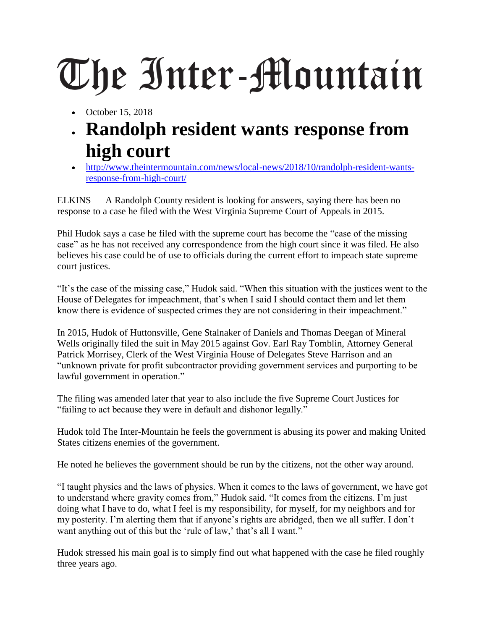## The Inter-Mountain

- October 15, 2018
- **Randolph resident wants response from high court**
- [http://www.theintermountain.com/news/local-news/2018/10/randolph-resident-wants](http://www.theintermountain.com/news/local-news/2018/10/randolph-resident-wants-response-from-high-court/)[response-from-high-court/](http://www.theintermountain.com/news/local-news/2018/10/randolph-resident-wants-response-from-high-court/)

ELKINS — A Randolph County resident is looking for answers, saying there has been no response to a case he filed with the West Virginia Supreme Court of Appeals in 2015.

Phil Hudok says a case he filed with the supreme court has become the "case of the missing case" as he has not received any correspondence from the high court since it was filed. He also believes his case could be of use to officials during the current effort to impeach state supreme court justices.

"It's the case of the missing case," Hudok said. "When this situation with the justices went to the House of Delegates for impeachment, that's when I said I should contact them and let them know there is evidence of suspected crimes they are not considering in their impeachment."

In 2015, Hudok of Huttonsville, Gene Stalnaker of Daniels and Thomas Deegan of Mineral Wells originally filed the suit in May 2015 against Gov. Earl Ray Tomblin, Attorney General Patrick Morrisey, Clerk of the West Virginia House of Delegates Steve Harrison and an "unknown private for profit subcontractor providing government services and purporting to be lawful government in operation."

The filing was amended later that year to also include the five Supreme Court Justices for "failing to act because they were in default and dishonor legally."

Hudok told The Inter-Mountain he feels the government is abusing its power and making United States citizens enemies of the government.

He noted he believes the government should be run by the citizens, not the other way around.

"I taught physics and the laws of physics. When it comes to the laws of government, we have got to understand where gravity comes from," Hudok said. "It comes from the citizens. I'm just doing what I have to do, what I feel is my responsibility, for myself, for my neighbors and for my posterity. I'm alerting them that if anyone's rights are abridged, then we all suffer. I don't want anything out of this but the 'rule of law,' that's all I want."

Hudok stressed his main goal is to simply find out what happened with the case he filed roughly three years ago.